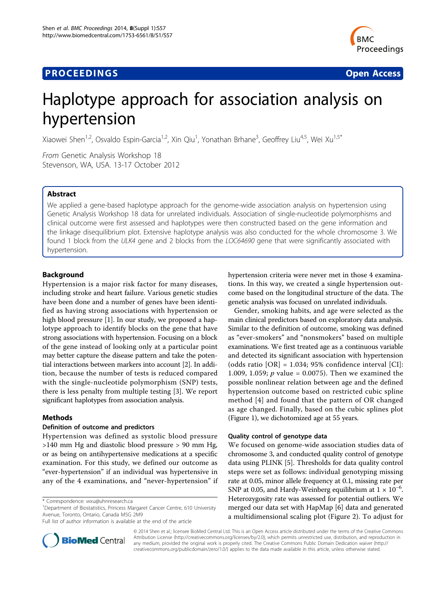# **PROCEEDINGS CONSIDERING S** Open Access **CONSIDERING S**



# Haplotype approach for association analysis on hypertension

Xiaowei Shen<sup>1,2</sup>, Osvaldo Espin-Garcia<sup>1,2</sup>, Xin Qiu<sup>1</sup>, Yonathan Brhane<sup>3</sup>, Geoffrey Liu<sup>4,5</sup>, Wei Xu<sup>1,5\*</sup>

From Genetic Analysis Workshop 18 Stevenson, WA, USA. 13-17 October 2012

# Abstract

We applied a gene-based haplotype approach for the genome-wide association analysis on hypertension using Genetic Analysis Workshop 18 data for unrelated individuals. Association of single-nucleotide polymorphisms and clinical outcome were first assessed and haplotypes were then constructed based on the gene information and the linkage disequilibrium plot. Extensive haplotype analysis was also conducted for the whole chromosome 3. We found 1 block from the ULK4 gene and 2 blocks from the LOC64690 gene that were significantly associated with hypertension.

# Background

Hypertension is a major risk factor for many diseases, including stroke and heart failure. Various genetic studies have been done and a number of genes have been identified as having strong associations with hypertension or high blood pressure [[1\]](#page-3-0). In our study, we proposed a haplotype approach to identify blocks on the gene that have strong associations with hypertension. Focusing on a block of the gene instead of looking only at a particular point may better capture the disease pattern and take the potential interactions between markers into account [[2](#page-4-0)]. In addition, because the number of tests is reduced compared with the single-nucleotide polymorphism (SNP) tests, there is less penalty from multiple testing [\[3](#page-4-0)]. We report significant haplotypes from association analysis.

# Methods

## Definition of outcome and predictors

Hypertension was defined as systolic blood pressure >140 mm Hg and diastolic blood pressure > 90 mm Hg, or as being on antihypertensive medications at a specific examination. For this study, we defined our outcome as "ever-hypertension" if an individual was hypertensive in any of the 4 examinations, and "never-hypertension" if



Gender, smoking habits, and age were selected as the main clinical predictors based on exploratory data analysis. Similar to the definition of outcome, smoking was defined as "ever-smokers" and "nonsmokers" based on multiple examinations. We first treated age as a continuous variable and detected its significant association with hypertension (odds ratio  $[OR] = 1.034$ ; 95% confidence interval  $[CI]$ : 1.009, 1.059; *p* value = 0.0075). Then we examined the possible nonlinear relation between age and the defined hypertension outcome based on restricted cubic spline method [[4](#page-4-0)] and found that the pattern of OR changed as age changed. Finally, based on the cubic splines plot (Figure [1](#page-1-0)), we dichotomized age at 55 years.

## Quality control of genotype data

We focused on genome-wide association studies data of chromosome 3, and conducted quality control of genotype data using PLINK [\[5](#page-4-0)]. Thresholds for data quality control steps were set as follows: individual genotyping missing rate at 0.05, minor allele frequency at 0.1, missing rate per SNP at 0.05, and Hardy-Weinberg equilibrium at  $1 \times 10^{-6}$ . Heterozygosity rate was assessed for potential outliers. We merged our data set with HapMap [[6\]](#page-4-0) data and generated a multidimensional scaling plot (Figure [2\)](#page-1-0). To adjust for



© 2014 Shen et al.; licensee BioMed Central Ltd. This is an Open Access article distributed under the terms of the Creative Commons Attribution License [\(http://creativecommons.org/licenses/by/2.0](http://creativecommons.org/licenses/by/2.0)), which permits unrestricted use, distribution, and reproduction in any medium, provided the original work is properly cited. The Creative Commons Public Domain Dedication waiver [\(http://](http://creativecommons.org/publicdomain/zero/1.0/) [creativecommons.org/publicdomain/zero/1.0/](http://creativecommons.org/publicdomain/zero/1.0/)) applies to the data made available in this article, unless otherwise stated.

<sup>\*</sup> Correspondence: [wxu@uhnresearch.ca](mailto:wxu@uhnresearch.ca)

<sup>&</sup>lt;sup>1</sup>Department of Biostatistics, Princess Margaret Cancer Centre, 610 University Avenue, Toronto, Ontario, Canada M5G 2M9

Full list of author information is available at the end of the article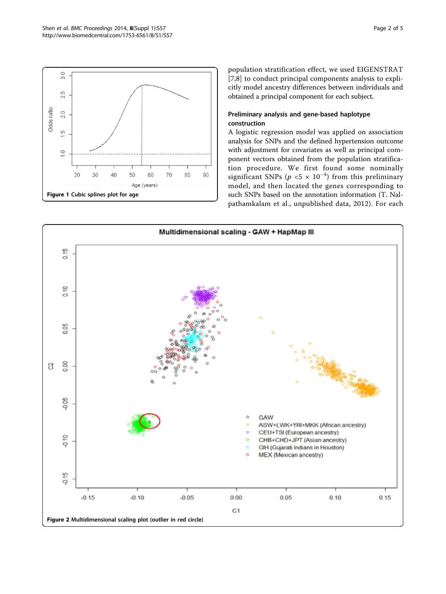<span id="page-1-0"></span>

population stratification effect, we used EIGENSTRAT [[7,8](#page-4-0)] to conduct principal components analysis to explicitly model ancestry differences between individuals and obtained a principal component for each subject.

# Preliminary analysis and gene-based haplotype construction

A logistic regression model was applied on association analysis for SNPs and the defined hypertension outcome with adjustment for covariates as well as principal component vectors obtained from the population stratification procedure. We first found some nominally significant SNPs ( $p < 5 \times 10^{-4}$ ) from this preliminary model, and then located the genes corresponding to such SNPs based on the annotation information (T. Nalpathamkalam et al., unpublished data, 2012). For each

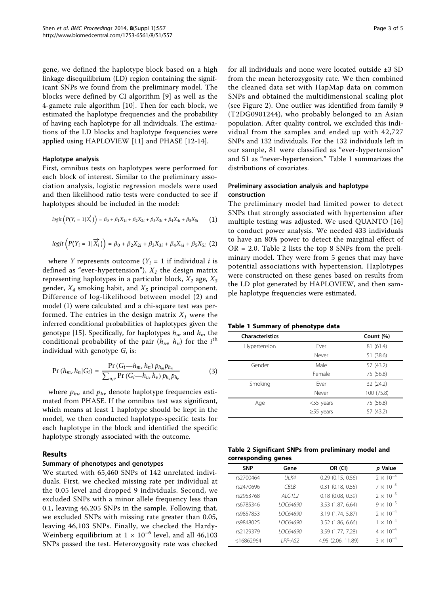gene, we defined the haplotype block based on a high linkage disequilibrium (LD) region containing the significant SNPs we found from the preliminary model. The blocks were defined by CI algorithm [[9\]](#page-4-0) as well as the 4-gamete rule algorithm [[10](#page-4-0)]. Then for each block, we estimated the haplotype frequencies and the probability of having each haplotype for all individuals. The estimations of the LD blocks and haplotype frequencies were applied using HAPLOVIEW [\[11\]](#page-4-0) and PHASE [\[12-14](#page-4-0)].

## Haplotype analysis

First, omnibus tests on haplotypes were performed for each block of interest. Similar to the preliminary association analysis, logistic regression models were used and then likelihood ratio tests were conducted to see if haplotypes should be included in the model:

$$
logit(P(Y_i = 1 | \overrightarrow{X_i})) = \beta_0 + \beta_1 X_{1i} + \beta_2 X_{2i} + \beta_3 X_{3i} + \beta_4 X_{4i} + \beta_5 X_{5i}
$$
 (1)

$$
logit\left(P(Y_i = 1 | \overrightarrow{X_i})\right) = \beta_0 + \beta_2 X_{2i} + \beta_3 X_{3i} + \beta_4 X_{4i} + \beta_5 X_{5i} \hspace{2mm}(2)
$$

where Y represents outcome  $(Y_i = 1$  if individual i is defined as "ever-hypertension"),  $X_I$  the design matrix representing haplotypes in a particular block,  $X_2$  age,  $X_3$ gender,  $X_4$  smoking habit, and  $X_5$  principal component. Difference of log-likelihood between model (2) and model (1) were calculated and a chi-square test was performed. The entries in the design matrix  $X_I$  were the inferred conditional probabilities of haplotypes given the genotype [[15\]](#page-4-0). Specifically, for haplotypes  $h_m$  and  $h_n$ , the conditional probability of the pair  $(h_{m}, h_{n})$  for the  $i^{\text{th}}$ individual with genotype  $G_i$  is:

$$
Pr(h_m, h_n | G_i) = \frac{Pr(G_i - h_m, h_n) p_{h_m} p_{h_n}}{\sum_{u,v} Pr(G_i - h_u, h_v) p_{h_u} p_{h_v}}
$$
(3)

where  $p_{hu}$  and  $p_{hv}$  denote haplotype frequencies estimated from PHASE. If the omnibus test was significant, which means at least 1 haplotype should be kept in the model, we then conducted haplotype-specific tests for each haplotype in the block and identified the specific haplotype strongly associated with the outcome.

#### Results

## Summary of phenotypes and genotypes

We started with 65,460 SNPs of 142 unrelated individuals. First, we checked missing rate per individual at the 0.05 level and dropped 9 individuals. Second, we excluded SNPs with a minor allele frequency less than 0.1, leaving 46,205 SNPs in the sample. Following that, we excluded SNPs with missing rate greater than 0.05, leaving 46,103 SNPs. Finally, we checked the Hardy-Weinberg equilibrium at  $1 \times 10^{-6}$  level, and all 46,103 SNPs passed the test. Heterozygosity rate was checked for all individuals and none were located outside ±3 SD from the mean heterozygosity rate. We then combined the cleaned data set with HapMap data on common SNPs and obtained the multidimensional scaling plot (see Figure [2\)](#page-1-0). One outlier was identified from family 9 (T2DG0901244), who probably belonged to an Asian population. After quality control, we excluded this individual from the samples and ended up with 42,727 SNPs and 132 individuals. For the 132 individuals left in our sample, 81 were classified as "ever-hypertension" and 51 as "never-hypertension." Table 1 summarizes the distributions of covariates.

# Preliminary association analysis and haplotype construction

The preliminary model had limited power to detect SNPs that strongly associated with hypertension after multiple testing was adjusted. We used QUANTO [\[16](#page-4-0)] to conduct power analysis. We needed 433 individuals to have an 80% power to detect the marginal effect of  $OR = 2.0$ . Table 2 lists the top 8 SNPs from the preliminary model. They were from 5 genes that may have potential associations with hypertension. Haplotypes were constructed on these genes based on results from the LD plot generated by HAPLOVIEW, and then sample haplotype frequencies were estimated.

## Table 1 Summary of phenotype data

| <b>Characteristics</b> |                 | Count (%)  |
|------------------------|-----------------|------------|
| Hypertension           | Fver            | 81 (61.4)  |
|                        | Never           | 51 (38.6)  |
| Gender                 | Male            | 57 (43.2)  |
|                        | Female          | 75 (56.8)  |
| Smoking                | Fver            | 32 (24.2)  |
|                        | Never           | 100 (75.8) |
| Age                    | $<$ 55 years    | 75 (56.8)  |
|                        | $\geq$ 55 years | 57 (43.2)  |

| Table 2 Significant SNPs from preliminary model and |  |  |
|-----------------------------------------------------|--|--|
| corresponding genes                                 |  |  |

| <b>SNP</b> | Gene           | OR (CI)               | p Value            |
|------------|----------------|-----------------------|--------------------|
| rs2700464  | <b>UI K4</b>   | $0.29$ $(0.15, 0.56)$ | $2 \times 10^{-4}$ |
| rs2470696  | CBI B          | $0.31$ (0.18, 0.55)   | $7 \times 10^{-5}$ |
| rs2953768  | $AI$ G112      | $0.18$ $(0.08, 0.39)$ | $2 \times 10^{-5}$ |
| rs6785346  | 10C64690       | 3.53 (1.87, 6.64)     | $9 \times 10^{-5}$ |
| rs9857853  | 10C64690       | 3.19 (1.74, 5.87)     | $2 \times 10^{-4}$ |
| rs9848025  | 10C64690       | 3.52 (1.86, 6.66)     | $1 \times 10^{-4}$ |
| rs2129379  | 10C64690       | 3.59 (1.77, 7.28)     | $4 \times 10^{-4}$ |
| rs16862964 | <b>IPP-AS2</b> | 4.95 (2.06, 11.89)    | $3 \times 10^{-4}$ |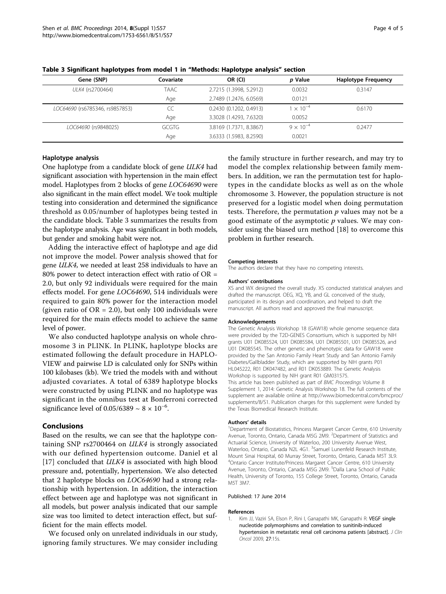| Gene (SNP)                      | Covariate | OR (CI)                 | p Value            | <b>Haplotype Frequency</b> |
|---------------------------------|-----------|-------------------------|--------------------|----------------------------|
| ULK4 (rs2700464)                | TAAC      | 2.7215 (1.3998, 5.2912) | 0.0032             | 0.3147                     |
|                                 | Age       | 2.7489 (1.2476, 6.0569) | 0.0121             |                            |
| LOC64690 (rs6785346, rs9857853) | CC        | 0.2430 (0.1202, 0.4913) | $1 \times 10^{-4}$ | 0.6170                     |
|                                 | Age       | 3.3028 (1.4293, 7.6320) | 0.0052             |                            |
| LOC64690 (rs9848025)            | GCGTG     | 3.8169 (1.7371, 8.3867) | $9 \times 10^{-4}$ | 0.2477                     |
|                                 | Age       | 3.6333 (1.5983, 8.2590) | 0.0021             |                            |

<span id="page-3-0"></span>Table 3 Significant haplotypes from model 1 in "Methods: Haplotype analysis" section

### Haplotype analysis

One haplotype from a candidate block of gene ULK4 had significant association with hypertension in the main effect model. Haplotypes from 2 blocks of gene LOC64690 were also significant in the main effect model. We took multiple testing into consideration and determined the significance threshold as 0.05/number of haplotypes being tested in the candidate block. Table 3 summarizes the results from the haplotype analysis. Age was significant in both models, but gender and smoking habit were not.

Adding the interactive effect of haplotype and age did not improve the model. Power analysis showed that for gene ULK4, we needed at least 258 individuals to have an 80% power to detect interaction effect with ratio of OR = 2.0, but only 92 individuals were required for the main effects model. For gene LOC64690, 514 individuals were required to gain 80% power for the interaction model (given ratio of  $OR = 2.0$ ), but only 100 individuals were required for the main effects model to achieve the same level of power.

We also conducted haplotype analysis on whole chromosome 3 in PLINK. In PLINK, haplotype blocks are estimated following the default procedure in HAPLO-VIEW and pairwise LD is calculated only for SNPs within 100 kilobases (kb). We tried the models with and without adjusted covariates. A total of 6389 haplotype blocks were constructed by using PLINK and no haplotype was significant in the omnibus test at Bonferroni corrected significance level of 0.05/6389  $\sim 8 \times 10^{-6}$ .

# Conclusions

Based on the results, we can see that the haplotype containing SNP rs2700464 on ULK4 is strongly associated with our defined hypertension outcome. Daniel et al [[17\]](#page-4-0) concluded that *ULK4* is associated with high blood pressure and, potentially, hypertension. We also detected that 2 haplotype blocks on LOC64690 had a strong relationship with hypertension. In addition, the interaction effect between age and haplotype was not significant in all models, but power analysis indicated that our sample size was too limited to detect interaction effect, but sufficient for the main effects model.

We focused only on unrelated individuals in our study, ignoring family structures. We may consider including the family structure in further research, and may try to model the complex relationship between family members. In addition, we ran the permutation test for haplotypes in the candidate blocks as well as on the whole chromosome 3. However, the population structure is not preserved for a logistic model when doing permutation tests. Therefore, the permutation  $p$  values may not be a good estimate of the asymptotic  $p$  values. We may consider using the biased urn method [[18\]](#page-4-0) to overcome this problem in further research.

#### Competing interests

The authors declare that they have no competing interests.

#### Authors' contributions

XS and WX designed the overall study. XS conducted statistical analyses and drafted the manuscript. OEG, XQ, YB, and GL conceived of the study, participated in its design and coordination, and helped to draft the manuscript. All authors read and approved the final manuscript.

#### Acknowledgements

The Genetic Analysis Workshop 18 (GAW18) whole genome sequence data were provided by the T2D-GENES Consortium, which is supported by NIH grants U01 DK085524, U01 DK085584, U01 DK085501, U01 DK085526, and U01 DK085545. The other genetic and phenotypic data for GAW18 were provided by the San Antonio Family Heart Study and San Antonio Family Diabetes/Gallbladder Study, which are supported by NIH grants P01 HL045222, R01 DK047482, and R01 DK053889. The Genetic Analysis Workshop is supported by NIH grant R01 GM031575.

This article has been published as part of BMC Proceedings Volume 8 Supplement 1, 2014: Genetic Analysis Workshop 18. The full contents of the supplement are available online at [http://www.biomedcentral.com/bmcproc/](http://www.biomedcentral.com/bmcproc/supplements/8/S1) [supplements/8/S1.](http://www.biomedcentral.com/bmcproc/supplements/8/S1) Publication charges for this supplement were funded by the Texas Biomedical Research Institute.

#### Authors' details <sup>1</sup>

<sup>1</sup>Department of Biostatistics, Princess Margaret Cancer Centre, 610 University Avenue, Toronto, Ontario, Canada M5G 2M9. <sup>2</sup>Department of Statistics and Actuarial Science, University of Waterloo, 200 University Avenue West, Waterloo, Ontario, Canada N2L 4G1. <sup>3</sup>Samuel Lunenfeld Research Institute Mount Sinai Hospital, 60 Murray Street, Toronto, Ontario, Canada M5T 3L9. 4 Ontario Cancer Institute/Princess Margaret Cancer Centre, 610 University Avenue, Toronto, Ontario, Canada M5G 2M9. <sup>5</sup>Dalla Lana School of Public Health, University of Toronto, 155 College Street, Toronto, Ontario, Canada M5T 3M7.

#### Published: 17 June 2014

#### References

1. Kim JJ, Vaziri SA, Elson P, Rini I, Ganapathi MK, Ganapathi R: VEGF single nucleotide polymorphisms and correlation to sunitinib-induced hypertension in metastatic renal cell carcinoma patients [abstract]. J Clin Oncol 2009, 27:15s.